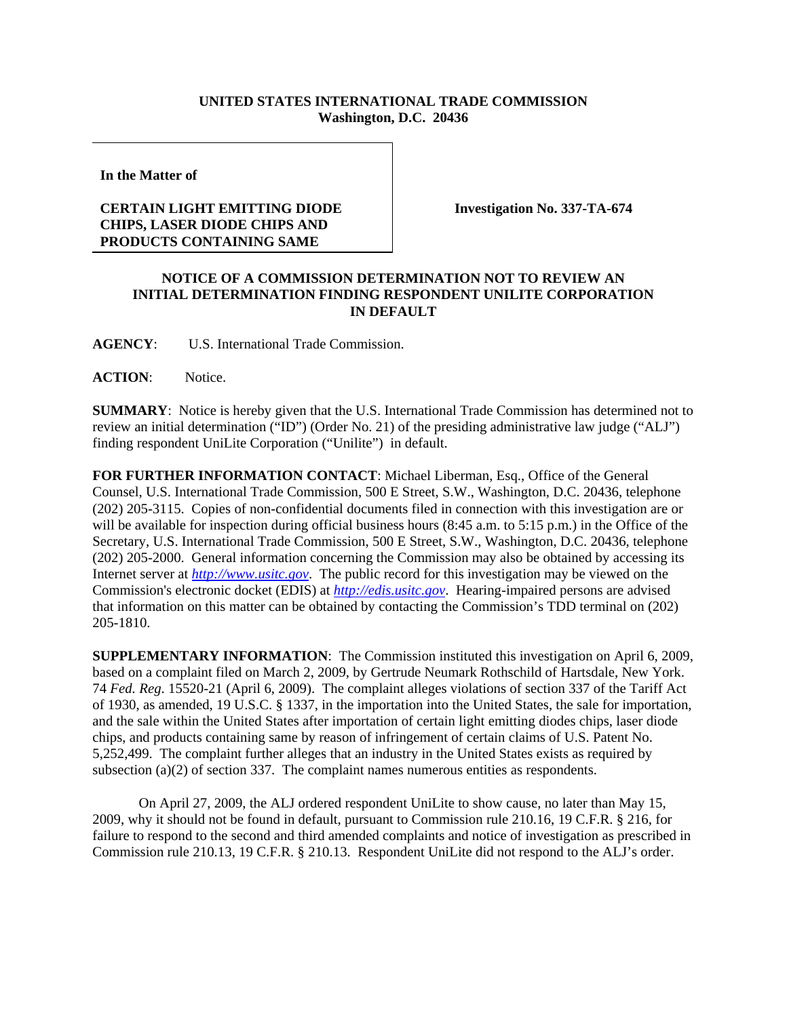## **UNITED STATES INTERNATIONAL TRADE COMMISSION Washington, D.C. 20436**

**In the Matter of** 

## **CERTAIN LIGHT EMITTING DIODE CHIPS, LASER DIODE CHIPS AND PRODUCTS CONTAINING SAME**

**Investigation No. 337-TA-674**

## **NOTICE OF A COMMISSION DETERMINATION NOT TO REVIEW AN INITIAL DETERMINATION FINDING RESPONDENT UNILITE CORPORATION IN DEFAULT**

**AGENCY**: U.S. International Trade Commission.

**ACTION**: Notice.

**SUMMARY**: Notice is hereby given that the U.S. International Trade Commission has determined not to review an initial determination ("ID") (Order No. 21) of the presiding administrative law judge ("ALJ") finding respondent UniLite Corporation ("Unilite") in default.

**FOR FURTHER INFORMATION CONTACT**: Michael Liberman, Esq., Office of the General Counsel, U.S. International Trade Commission, 500 E Street, S.W., Washington, D.C. 20436, telephone (202) 205-3115. Copies of non-confidential documents filed in connection with this investigation are or will be available for inspection during official business hours (8:45 a.m. to 5:15 p.m.) in the Office of the Secretary, U.S. International Trade Commission, 500 E Street, S.W., Washington, D.C. 20436, telephone (202) 205-2000. General information concerning the Commission may also be obtained by accessing its Internet server at *http://www.usitc.gov*. The public record for this investigation may be viewed on the Commission's electronic docket (EDIS) at *http://edis.usitc.gov*. Hearing-impaired persons are advised that information on this matter can be obtained by contacting the Commission's TDD terminal on (202) 205-1810.

**SUPPLEMENTARY INFORMATION**: The Commission instituted this investigation on April 6, 2009, based on a complaint filed on March 2, 2009, by Gertrude Neumark Rothschild of Hartsdale, New York. 74 *Fed. Reg*. 15520-21 (April 6, 2009). The complaint alleges violations of section 337 of the Tariff Act of 1930, as amended, 19 U.S.C. § 1337, in the importation into the United States, the sale for importation, and the sale within the United States after importation of certain light emitting diodes chips, laser diode chips, and products containing same by reason of infringement of certain claims of U.S. Patent No. 5,252,499. The complaint further alleges that an industry in the United States exists as required by subsection (a)(2) of section 337. The complaint names numerous entities as respondents.

On April 27, 2009, the ALJ ordered respondent UniLite to show cause, no later than May 15, 2009, why it should not be found in default, pursuant to Commission rule 210.16, 19 C.F.R. § 216, for failure to respond to the second and third amended complaints and notice of investigation as prescribed in Commission rule 210.13, 19 C.F.R. § 210.13. Respondent UniLite did not respond to the ALJ's order.